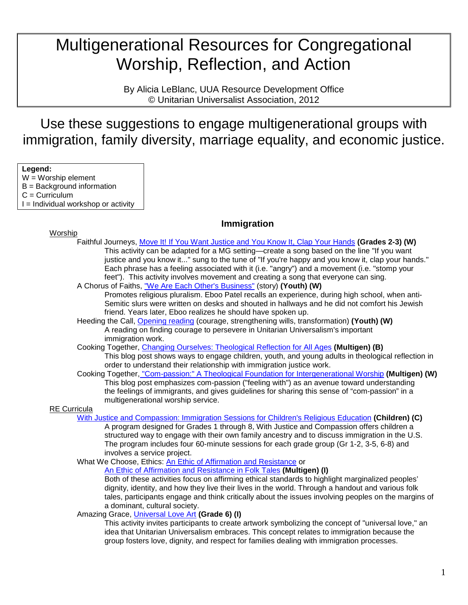# Multigenerational Resources for Congregational Worship, Reflection, and Action

By Alicia LeBlanc, UUA Resource Development Office © Unitarian Universalist Association, 2012

Use these suggestions to engage multigenerational groups with immigration, family diversity, marriage equality, and economic justice.

**Legend:**

- $W =$  Worship element
- B = Background information
- $C =$  Curriculum
- $I =$  Individual workshop or activity

# **Immigration**

- Worship Faithful Journeys, [Move It! If You Want Justice and You Know It, Clap Your Hands](http://www.uua.org/re/tapestry/children/journeys/session11/sessionplan/activities/132571.shtml) **(Grades 2-3) (W)** This activity can be adapted for a MG setting—create a song based on the line "If you want justice and you know it..." sung to the tune of "If you're happy and you know it, clap your hands." Each phrase has a feeling associated with it (i.e. "angry") and a movement (i.e. "stomp your feet"). This activity involves movement and creating a song that everyone can sing.
	- A Chorus of Faiths, ["We Are Each Other's Business"](http://www.uua.org/re/tapestry/youth/chorus/workshop4/workshopplan/stories/173683.shtml) (story) **(Youth) (W)** Promotes religious pluralism. Eboo Patel recalls an experience, during high school, when anti-
		- Semitic slurs were written on desks and shouted in hallways and he did not comfort his Jewish friend. Years later, Eboo realizes he should have spoken up.
	- Heeding the Call, [Opening reading](http://www.uua.org/re/tapestry/youth/call/workshop5/workshopplan/172080.shtml) (courage, strengthening wills, transformation) **(Youth) (W)** A reading on finding courage to persevere in Unitarian Universalism's important immigration work.
	- Cooking Together, [Changing Ourselves: Theological Reflection for All Ages](http://immigrationjustice.blogs.uua.org/reflection/changing-ourselves-theological-reflection-for-all-ages/) **(Multigen) (B)** This blog post shows ways to engage children, youth, and young adults in theological reflection in order to understand their relationship with immigration justice work.
	- Cooking Together, ["Com-passion:" A Theological Foundation for Intergenerational Worship](http://immigrationjustice.blogs.uua.org/worship/%E2%80%9Ccom-passion%E2%80%9D-a-theological-foundation-for-intergenerational-worship/) **(Multigen) (W)** This blog post emphasizes com-passion ("feeling with") as an avenue toward understanding the feelings of immigrants, and gives guidelines for sharing this sense of "com-passion" in a multigenerational worship service.

RE Curricula

[With Justice and Compassion: Immigration Sessions for Children's Religious Education](http://www.uua.org/documents/neffmandy/justice_compassion.pdf) **(Children) (C)**

A program designed for Grades 1 through 8, With Justice and Compassion offers children a structured way to engage with their own family ancestry and to discuss immigration in the U.S. The program includes four 60-minute sessions for each grade group (Gr 1-2, 3-5, 6-8) and involves a service project.

What We Choose, Ethics: [An Ethic of Affirmation and Resistance](http://www.uua.org/re/tapestry/adults/ethics/workshop8/workshopplan/activities/191987.shtml) or

[An Ethic of Affirmation and Resistance in Folk Tales](http://www.uua.org/re/tapestry/adults/ethics/workshop8/workshopplan/activities/191991.shtml) **(Multigen) (I)**

Both of these activities focus on affirming ethical standards to highlight marginalized peoples' dignity, identity, and how they live their lives in the world. Through a handout and various folk tales, participants engage and think critically about the issues involving peoples on the margins of a dominant, cultural society.

Amazing Grace, [Universal Love Art](http://www.uua.org/re/tapestry/children/grace/session15/sessionplan/activities/115626.shtml) **(Grade 6) (I)**

This activity invites participants to create artwork symbolizing the concept of "universal love," an idea that Unitarian Universalism embraces. This concept relates to immigration because the group fosters love, dignity, and respect for families dealing with immigration processes.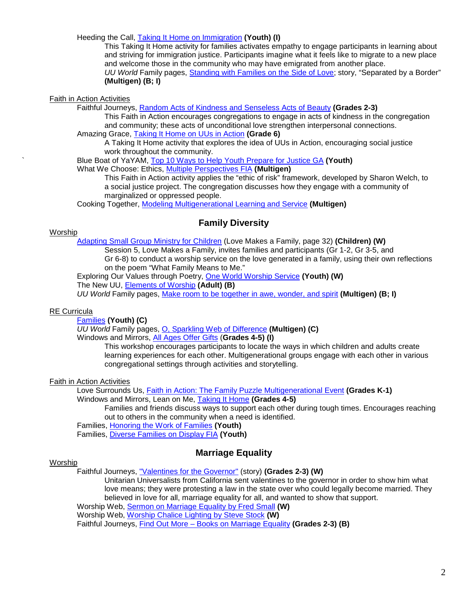Heeding the Call, [Taking It Home on Immigration](http://www.uua.org/re/tapestry/youth/call/workshop4/workshopplan/171808.shtml) **(Youth) (I)**

This Taking It Home activity for families activates empathy to engage participants in learning about and striving for immigration justice. Participants imagine what it feels like to migrate to a new place and welcome those in the community who may have emigrated from another place. *UU World* Family pages, [Standing with Families on the Side of Love;](https://www.uua.org/documents/uuworld/families/12_summer.pdf) story, "Separated by a Border" **(Multigen) (B; I)**

Faith in Action Activities

Faithful Journeys, [Random Acts of Kindness and Senseless Acts of Beauty](http://www.uua.org/re/tapestry/children/journeys/session7/sessionplan/132403.shtml) **(Grades 2-3)**

This Faith in Action encourages congregations to engage in acts of kindness in the congregation and community; these acts of unconditional love strengthen interpersonal connections. Amazing Grace, [Taking It Home on UUs in Action](http://www.uua.org/re/tapestry/children/grace/session8/sessionplan/115363.shtml) **(Grade 6)**

A Taking It Home activity that explores the idea of UUs in Action, encouraging social justice work throughout the community.

` Blue Boat of YaYAM, [Top 10 Ways to Help Youth Prepare for Justice GA](http://blueboat.blogs.uua.org/youth/top-10-ways-to-help-youth-prepare-for-justice-ga/) **(Youth)**

What We Choose: Ethics, [Multiple Perspectives FIA](http://www.uua.org/re/tapestry/adults/ethics/workshop9/workshopplan/192033.shtml) **(Multigen)**

This Faith in Action activity applies the "ethic of risk" framework, developed by Sharon Welch, to a social justice project. The congregation discusses how they engage with a community of marginalized or oppressed people.

Cooking Together, [Modeling Multigenerational Learning and Service](http://immigrationjustice.blogs.uua.org/education/mid-south-healthy-congregations-conference-immigration-as-a-moral-issue/) **(Multigen)**

## **Family Diversity**

#### **Worship**

[Adapting Small Group Ministry for Children](http://www.uua.org/documents/mpl/adapt_sgm_children.pdf) (Love Makes a Family, page 32) **(Children) (W)**

Session 5, Love Makes a Family, invites families and participants (Gr 1-2, Gr 3-5, and Gr 6-8) to conduct a worship service on the love generated in a family, using their own reflections on the poem "What Family Means to Me."

Exploring Our Values through Poetry, [One World Worship Service](http://www.uua.org/re/tapestry/youth/poetry/workshop10/workshopplan/leaderresources/113878.shtml) **(Youth) (W)**

The New UU, [Elements of Worship](http://www.uua.org/re/tapestry/adults/newuu/workshop1/workshopplan/leaderresources/160229.shtml) **(Adult) (B)**

*UU World* Family pages, [Make room to be together in awe, wonder, and spirit](http://www.uua.org/documents/uuworld/families/09_fall.pdf) **(Multigen) (B; I)**

#### RE Curricula

[Families](http://www.uua.org/re/tapestry/youth/families/index.shtml) **(Youth) (C)**

*UU World* Family pages, [O, Sparkling Web of Difference](http://www.uua.org/documents/uuworld/families/10_fall.pdf) **(Multigen) (C)** Windows and Mirrors, [All Ages Offer Gifts](http://www.uua.org/re/tapestry/children/windows/session6/index.shtml) (**Grades 4-5) (I)**

> This workshop encourages participants to locate the ways in which children and adults create learning experiences for each other. Multigenerational groups engage with each other in various congregational settings through activities and storytelling.

Faith in Action Activities

Love Surrounds Us, [Faith in Action: The Family Puzzle Multigenerational Event](http://www.uua.org/re/tapestry/children/lovesurrounds/session5/sessionplan/169992.shtml) **(Grades K-1)** Windows and Mirrors, Lean on Me, [Taking It Home](http://www.uua.org/re/tapestry/children/windows/session9/sessionplan/143696.shtml) **(Grades 4-5)**

Families and friends discuss ways to support each other during tough times. Encourages reaching out to others in the community when a need is identified.

Families, [Honoring the Work of Families](http://www.uua.org/re/tapestry/youth/families/workshop7/workshopplan/106124.shtml) **(Youth)**

Families, [Diverse Families on Display FIA](http://www.uua.org/re/tapestry/youth/families/workshop2/workshopplan/105626.shtml) **(Youth)**

# **Marriage Equality**

#### **Worship**

Faithful Journeys, ["Valentines for the Governor"](http://www.uua.org/re/tapestry/children/journeys/session11/sessionplan/stories/132585.shtml) (story) **(Grades 2-3) (W)**

Unitarian Universalists from California sent valentines to the governor in order to show him what love means; they were protesting a law in the state over who could legally become married. They believed in love for all, marriage equality for all, and wanted to show that support.

Worship Web, [Sermon on Marriage Equality by Fred Small](http://www.uua.org/worship/words/sermons/submissions/151132.shtml) **(W)**

Worship Web, [Worship Chalice Lighting by Steve Stock](http://www.uua.org/worship/words/chalice/submissions/110095.shtml) **(W)**

Faithful Journeys, Find Out More – [Books on Marriage Equality](http://www.uua.org/re/tapestry/children/journeys/session11/sessionplan/132591.shtml) **(Grades 2-3) (B)**